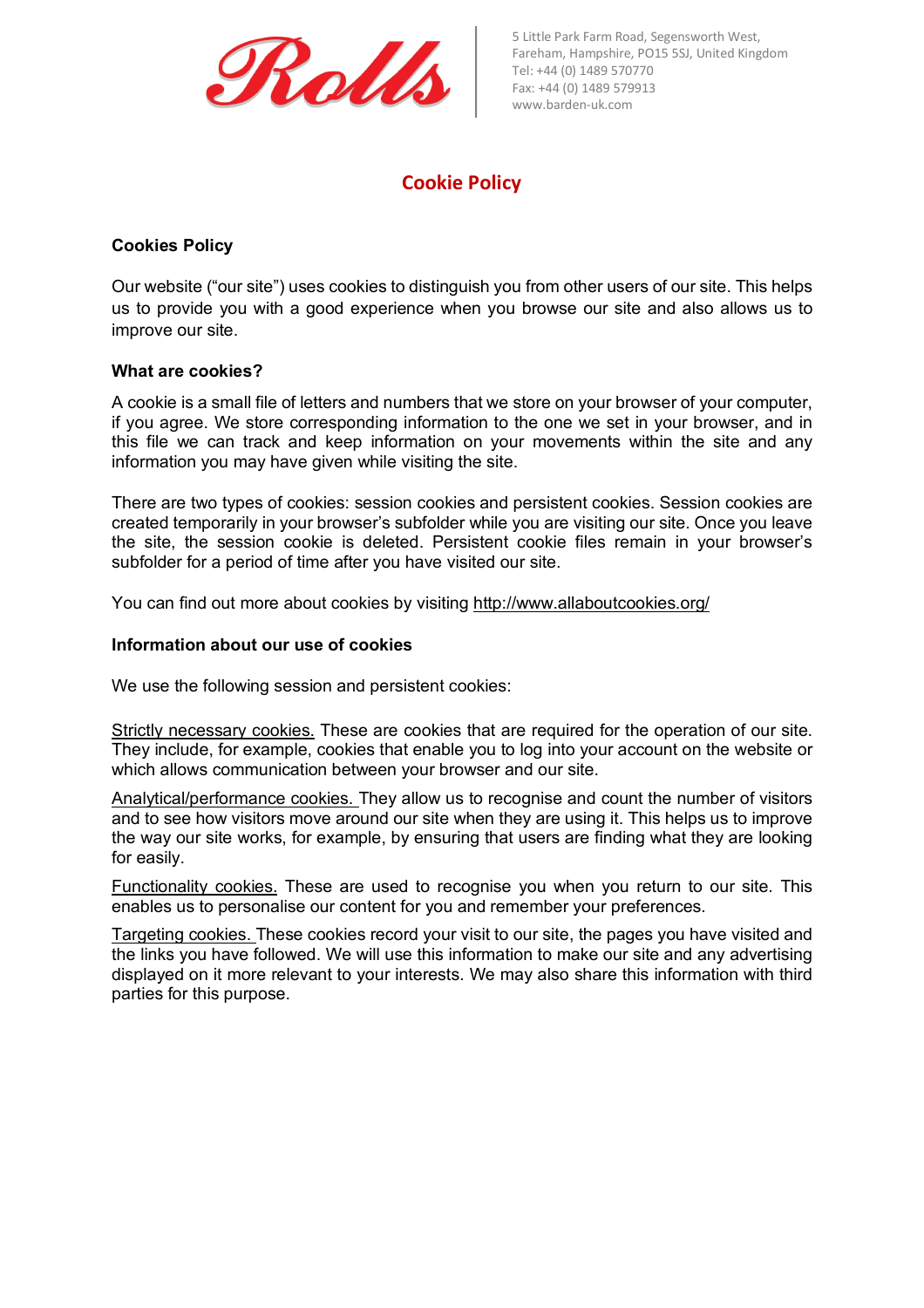

5 Little Park Farm Road, Segensworth West, Fareham, Hampshire, PO15 5SJ, United Kingdom Tel: +44 (0) 1489 570770 Fax: +44 (0) 1489 579913 www.barden-uk.com

# **Cookie Policy**

## **Cookies Policy**

Our website ("our site") uses cookies to distinguish you from other users of our site. This helps us to provide you with a good experience when you browse our site and also allows us to improve our site.

#### **What are cookies?**

A cookie is a small file of letters and numbers that we store on your browser of your computer, if you agree. We store corresponding information to the one we set in your browser, and in this file we can track and keep information on your movements within the site and any information you may have given while visiting the site.

There are two types of cookies: session cookies and persistent cookies. Session cookies are created temporarily in your browser's subfolder while you are visiting our site. Once you leave the site, the session cookie is deleted. Persistent cookie files remain in your browser's subfolder for a period of time after you have visited our site.

You can find out more about cookies by visiting http://www.allaboutcookies.org/

#### **Information about our use of cookies**

We use the following session and persistent cookies:

Strictly necessary cookies. These are cookies that are required for the operation of our site. They include, for example, cookies that enable you to log into your account on the website or which allows communication between your browser and our site.

Analytical/performance cookies. They allow us to recognise and count the number of visitors and to see how visitors move around our site when they are using it. This helps us to improve the way our site works, for example, by ensuring that users are finding what they are looking for easily.

Functionality cookies. These are used to recognise you when you return to our site. This enables us to personalise our content for you and remember your preferences.

Targeting cookies. These cookies record your visit to our site, the pages you have visited and the links you have followed. We will use this information to make our site and any advertising displayed on it more relevant to your interests. We may also share this information with third parties for this purpose.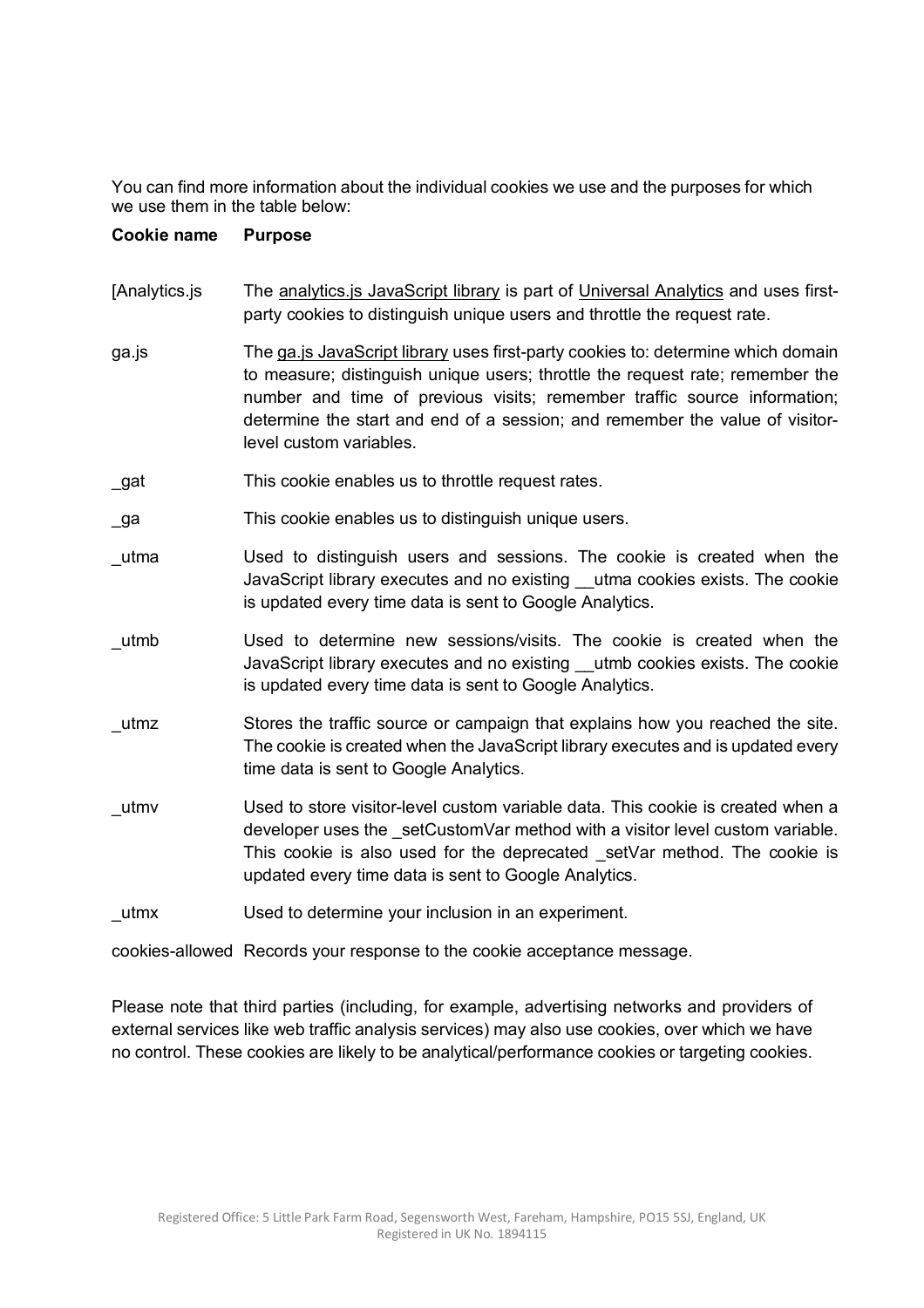You can find more information about the individual cookies we use and the purposes for which we use them in the table below:

# **Cookie name Purpose**

- [Analytics.js The analytics.js JavaScript library is part of Universal Analytics and uses firstparty cookies to distinguish unique users and throttle the request rate.
- ga.js The ga.js JavaScript library uses first-party cookies to: determine which domain to measure; distinguish unique users; throttle the request rate; remember the number and time of previous visits; remember traffic source information; determine the start and end of a session; and remember the value of visitorlevel custom variables.
- \_gat This cookie enables us to throttle request rates.
- ga This cookie enables us to distinguish unique users.
- \_utma Used to distinguish users and sessions. The cookie is created when the JavaScript library executes and no existing \_\_utma cookies exists. The cookie is updated every time data is sent to Google Analytics.
- \_utmb Used to determine new sessions/visits. The cookie is created when the JavaScript library executes and no existing utmb cookies exists. The cookie is updated every time data is sent to Google Analytics.
- \_utmz Stores the traffic source or campaign that explains how you reached the site. The cookie is created when the JavaScript library executes and is updated every time data is sent to Google Analytics.
- utmv Used to store visitor-level custom variable data. This cookie is created when a developer uses the setCustomVar method with a visitor level custom variable. This cookie is also used for the deprecated setVar method. The cookie is updated every time data is sent to Google Analytics.

utmx Used to determine your inclusion in an experiment.

cookies-allowed Records your response to the cookie acceptance message.

Please note that third parties (including, for example, advertising networks and providers of external services like web traffic analysis services) may also use cookies, over which we have no control. These cookies are likely to be analytical/performance cookies or targeting cookies.